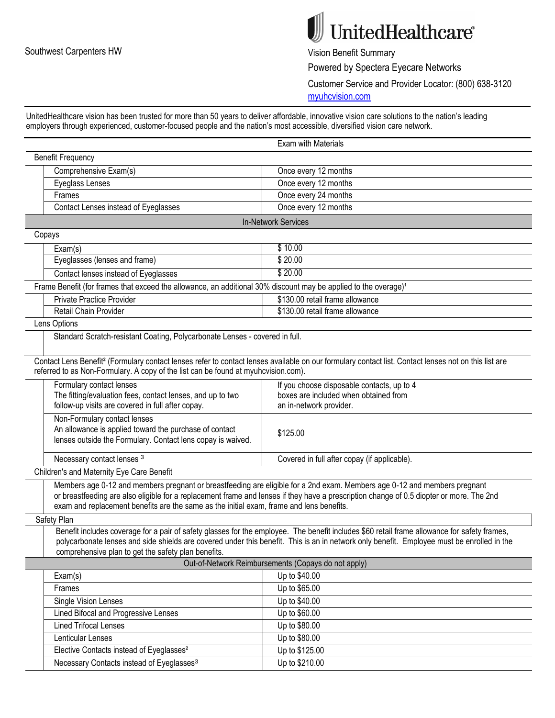## $\mathbb{J}$ UnitedHealthcare®

Powered by Spectera Eyecare Networks

Customer Service and Provider Locator: (800) 638-3120

myuhcvision.com

UnitedHealthcare vision has been trusted for more than 50 years to deliver affordable, innovative vision care solutions to the nation's leading employers through experienced, customer-focused people and the nation's most accessible, diversified vision care network.

| Exam with Materials                                                                                                                                              |
|------------------------------------------------------------------------------------------------------------------------------------------------------------------|
|                                                                                                                                                                  |
| Once every 12 months                                                                                                                                             |
| Once every 12 months                                                                                                                                             |
| Once every 24 months                                                                                                                                             |
| Once every 12 months                                                                                                                                             |
| In-Network Services                                                                                                                                              |
|                                                                                                                                                                  |
| \$10.00                                                                                                                                                          |
| \$20.00                                                                                                                                                          |
| \$20.00                                                                                                                                                          |
| Frame Benefit (for frames that exceed the allowance, an additional 30% discount may be applied to the overage) <sup>1</sup>                                      |
| \$130.00 retail frame allowance                                                                                                                                  |
| \$130.00 retail frame allowance                                                                                                                                  |
|                                                                                                                                                                  |
| Standard Scratch-resistant Coating, Polycarbonate Lenses - covered in full.                                                                                      |
|                                                                                                                                                                  |
| Contact Lens Benefit <sup>2</sup> (Formulary contact lenses refer to contact lenses available on our formulary contact list. Contact lenses not on this list are |
| referred to as Non-Formulary. A copy of the list can be found at myuhcvision.com).                                                                               |
| If you choose disposable contacts, up to 4                                                                                                                       |
| boxes are included when obtained from                                                                                                                            |
| an in-network provider.                                                                                                                                          |
|                                                                                                                                                                  |
| \$125.00                                                                                                                                                         |
|                                                                                                                                                                  |
| Covered in full after copay (if applicable).                                                                                                                     |
|                                                                                                                                                                  |
| Members age 0-12 and members pregnant or breastfeeding are eligible for a 2nd exam. Members age 0-12 and members pregnant                                        |
| or breastfeeding are also eligible for a replacement frame and lenses if they have a prescription change of 0.5 diopter or more. The 2nd                         |
| exam and replacement benefits are the same as the initial exam, frame and lens benefits.                                                                         |
|                                                                                                                                                                  |
| Benefit includes coverage for a pair of safety glasses for the employee. The benefit includes \$60 retail frame allowance for safety frames,                     |
| polycarbonate lenses and side shields are covered under this benefit. This is an in network only benefit. Employee must be enrolled in the                       |
|                                                                                                                                                                  |
| Out-of-Network Reimbursements (Copays do not apply)                                                                                                              |
| Up to \$40.00                                                                                                                                                    |
| Up to \$65.00                                                                                                                                                    |
| Up to \$40.00                                                                                                                                                    |
| Up to \$60.00                                                                                                                                                    |
| Up to \$80.00                                                                                                                                                    |
| Up to \$80.00                                                                                                                                                    |
| Up to \$125.00                                                                                                                                                   |
| Up to \$210.00                                                                                                                                                   |
|                                                                                                                                                                  |